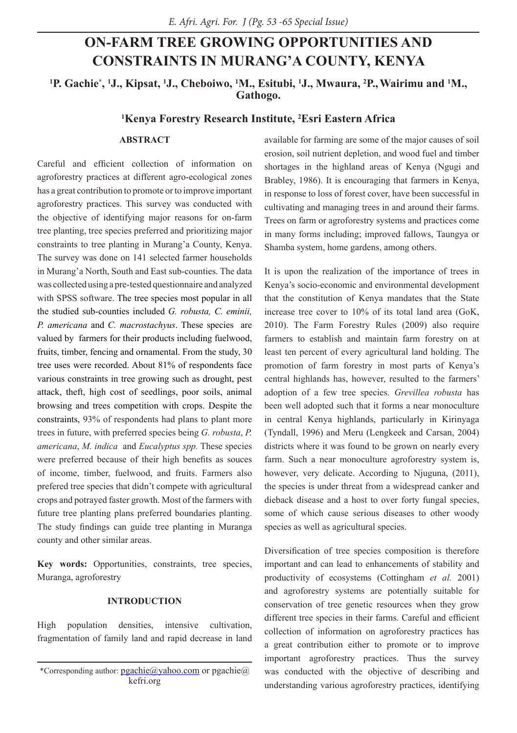# **ON-FARM TREE GROWING OPPORTUNITIES AND CONSTRAINTS IN MURANG'A COUNTY, KENYA**

**1 P. Gachie\* , 1 J., Kipsat, 1 J., Cheboiwo, 1 M., Esitubi, 1 J., Mwaura, 2 P.,Wairimu and 1 M., Gathogo.**

## **1 Kenya Forestry Research Institute, 2 Esri Eastern Africa**

## **ABSTRACT**

Careful and efficient collection of information on agroforestry practices at different agro-ecological zones has a great contribution to promote or to improve important agroforestry practices. This survey was conducted with the objective of identifying major reasons for on-farm tree planting, tree species preferred and prioritizing major constraints to tree planting in Murang'a County, Kenya. The survey was done on 141 selected farmer households in Murang'a North, South and East sub-counties. The data was collected using a pre-tested questionnaire and analyzed with SPSS software. The tree species most popular in all the studied sub-counties included *G. robusta, C. eminii, P. americana* and *C. macrostachyus*. These species are valued by farmers for their products including fuelwood, fruits, timber, fencing and ornamental. From the study, 30 tree uses were recorded. About 81% of respondents face various constraints in tree growing such as drought, pest attack, theft, high cost of seedlings, poor soils, animal browsing and trees competition with crops. Despite the constraints, 93% of respondents had plans to plant more trees in future, with preferred species being *G. robusta*, *P. americana*, *M. indica* and *Eucalyptus spp.* These species were preferred because of their high benefits as souces of income, timber, fuelwood, and fruits. Farmers also prefered tree species that didn't compete with agricultural crops and potrayed faster growth. Most of the farmers with future tree planting plans preferred boundaries planting. The study findings can guide tree planting in Muranga county and other similar areas.

**Key words:** Opportunities, constraints, tree species, Muranga, agroforestry

#### **INTRODUCTION**

High population densities, intensive cultivation, fragmentation of family land and rapid decrease in land available for farming are some of the major causes of soil erosion, soil nutrient depletion, and wood fuel and timber shortages in the highland areas of Kenya (Ngugi and Brabley, 1986). It is encouraging that farmers in Kenya, in response to loss of forest cover, have been successful in cultivating and managing trees in and around their farms. Trees on farm or agroforestry systems and practices come in many forms including; improved fallows, Taungya or Shamba system, home gardens, among others.

It is upon the realization of the importance of trees in Kenya's socio-economic and environmental development that the constitution of Kenya mandates that the State increase tree cover to 10% of its total land area (GoK, 2010). The Farm Forestry Rules (2009) also require farmers to establish and maintain farm forestry on at least ten percent of every agricultural land holding. The promotion of farm forestry in most parts of Kenya's central highlands has, however, resulted to the farmers' adoption of a few tree species. *Grevillea robusta* has been well adopted such that it forms a near monoculture in central Kenya highlands, particularly in Kirinyaga (Tyndall, 1996) and Meru (Lengkeek and Carsan, 2004) districts where it was found to be grown on nearly every farm. Such a near monoculture agroforestry system is, however, very delicate. According to Njuguna, (2011), the species is under threat from a widespread canker and dieback disease and a host to over forty fungal species, some of which cause serious diseases to other woody species as well as agricultural species.

Diversification of tree species composition is therefore important and can lead to enhancements of stability and productivity of ecosystems (Cottingham *et al.* 2001) and agroforestry systems are potentially suitable for conservation of tree genetic resources when they grow different tree species in their farms. Careful and efficient collection of information on agroforestry practices has a great contribution either to promote or to improve important agroforestry practices. Thus the survey was conducted with the objective of describing and understanding various agroforestry practices, identifying

<sup>\*</sup>Corresponding author:  $pgachie@yahoo.com$  or pgachie $@$ kefri.org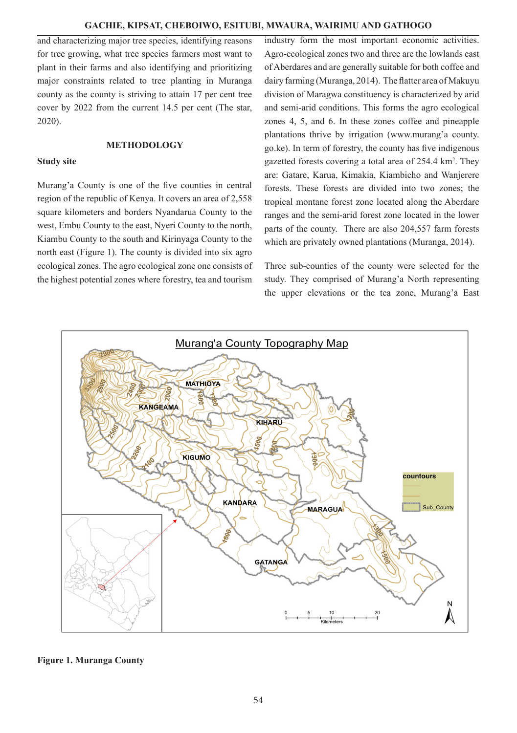and characterizing major tree species, identifying reasons for tree growing, what tree species farmers most want to plant in their farms and also identifying and prioritizing major constraints related to tree planting in Muranga county as the county is striving to attain 17 per cent tree cover by 2022 from the current 14.5 per cent (The star, 2020).

## **METHODOLOGY**

#### **Study site**

Murang'a County is one of the five counties in central region of the republic of Kenya. It covers an area of 2,558 square kilometers and borders Nyandarua County to the west, Embu County to the east, Nyeri County to the north, Kiambu County to the south and Kirinyaga County to the north east (Figure 1). The county is divided into six agro ecological zones. The agro ecological zone one consists of the highest potential zones where forestry, tea and tourism

industry form the most important economic activities. Agro-ecological zones two and three are the lowlands east of Aberdares and are generally suitable for both coffee and dairy farming (Muranga, 2014). The flatter area of Makuyu division of Maragwa constituency is characterized by arid and semi-arid conditions. This forms the agro ecological zones 4, 5, and 6. In these zones coffee and pineapple plantations thrive by irrigation (www.murang'a county. go.ke). In term of forestry, the county has five indigenous gazetted forests covering a total area of 254.4 km<sup>2</sup>. They are: Gatare, Karua, Kimakia, Kiambicho and Wanjerere forests. These forests are divided into two zones; the tropical montane forest zone located along the Aberdare ranges and the semi-arid forest zone located in the lower parts of the county. There are also 204,557 farm forests which are privately owned plantations (Muranga, 2014).

Three sub-counties of the county were selected for the study. They comprised of Murang'a North representing the upper elevations or the tea zone, Murang'a East



### **Figure 1. Muranga County**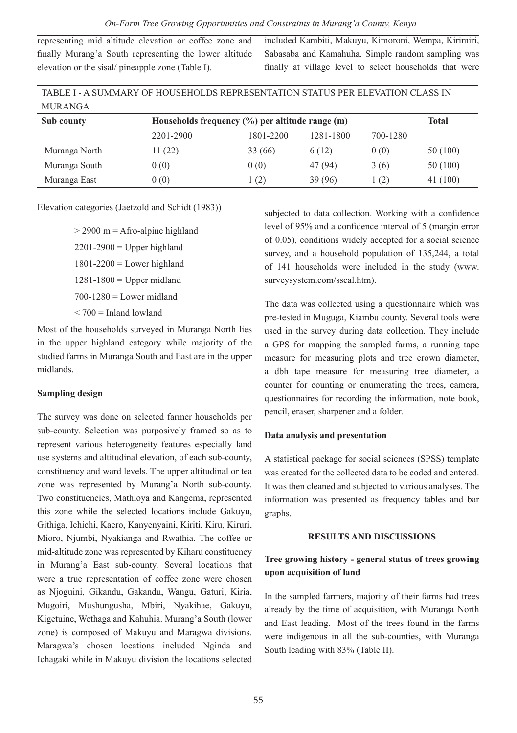representing mid altitude elevation or coffee zone and finally Murang'a South representing the lower altitude elevation or the sisal/ pineapple zone (Table I).

included Kambiti, Makuyu, Kimoroni, Wempa, Kirimiri, Sabasaba and Kamahuha. Simple random sampling was finally at village level to select households that were

| TABLE I - A SUMMARY OF HOUSEHOLDS REPRESENTATION STATUS PER ELEVATION CLASS IN |                                                    |           |           |          |          |  |
|--------------------------------------------------------------------------------|----------------------------------------------------|-----------|-----------|----------|----------|--|
| <b>MURANGA</b>                                                                 |                                                    |           |           |          |          |  |
| Sub county                                                                     | Households frequency $(\%)$ per altitude range (m) |           | Total     |          |          |  |
|                                                                                | 2201-2900                                          | 1801-2200 | 1281-1800 | 700-1280 |          |  |
| Muranga North                                                                  | 11(22)                                             | 33 (66)   | 6(12)     | 0(0)     | 50 (100) |  |
| Muranga South                                                                  | 0(0)                                               | 0(0)      | 47 (94)   | 3(6)     | 50 (100) |  |
| Muranga East                                                                   | 0(0)                                               | 1(2)      | 39(96)    | 1(2)     | 41(100)  |  |

Elevation categories (Jaetzold and Schidt (1983))

 $>$  2900 m = Afro-alpine highland  $2201-2900$  = Upper highland  $1801-2200$  = Lower highland  $1281-1800$  = Upper midland  $700-1280$  = Lower midland  $<$  700 = Inland lowland

Most of the households surveyed in Muranga North lies in the upper highland category while majority of the studied farms in Muranga South and East are in the upper midlands.

### **Sampling design**

The survey was done on selected farmer households per sub-county. Selection was purposively framed so as to represent various heterogeneity features especially land use systems and altitudinal elevation, of each sub-county, constituency and ward levels. The upper altitudinal or tea zone was represented by Murang'a North sub-county. Two constituencies, Mathioya and Kangema, represented this zone while the selected locations include Gakuyu, Githiga, Ichichi, Kaero, Kanyenyaini, Kiriti, Kiru, Kiruri, Mioro, Njumbi, Nyakianga and Rwathia. The coffee or mid-altitude zone was represented by Kiharu constituency in Murang'a East sub-county. Several locations that were a true representation of coffee zone were chosen as Njoguini, Gikandu, Gakandu, Wangu, Gaturi, Kiria, Mugoiri, Mushungusha, Mbiri, Nyakihae, Gakuyu, Kigetuine, Wethaga and Kahuhia. Murang'a South (lower zone) is composed of Makuyu and Maragwa divisions. Maragwa's chosen locations included Nginda and Ichagaki while in Makuyu division the locations selected

subjected to data collection. Working with a confidence level of 95% and a confidence interval of 5 (margin error of 0.05), conditions widely accepted for a social science survey, and a household population of 135,244, a total of 141 households were included in the study (www. surveysystem.com/sscal.htm).

The data was collected using a questionnaire which was pre-tested in Muguga, Kiambu county. Several tools were used in the survey during data collection. They include a GPS for mapping the sampled farms, a running tape measure for measuring plots and tree crown diameter, a dbh tape measure for measuring tree diameter, a counter for counting or enumerating the trees, camera, questionnaires for recording the information, note book, pencil, eraser, sharpener and a folder.

## **Data analysis and presentation**

A statistical package for social sciences (SPSS) template was created for the collected data to be coded and entered. It was then cleaned and subjected to various analyses. The information was presented as frequency tables and bar graphs.

#### **RESULTS AND DISCUSSIONS**

## **Tree growing history - general status of trees growing upon acquisition of land**

In the sampled farmers, majority of their farms had trees already by the time of acquisition, with Muranga North and East leading. Most of the trees found in the farms were indigenous in all the sub-counties, with Muranga South leading with 83% (Table II).

*On-Farm Tree Growing Opportunities and Constraints in Murang'a County, Kenya*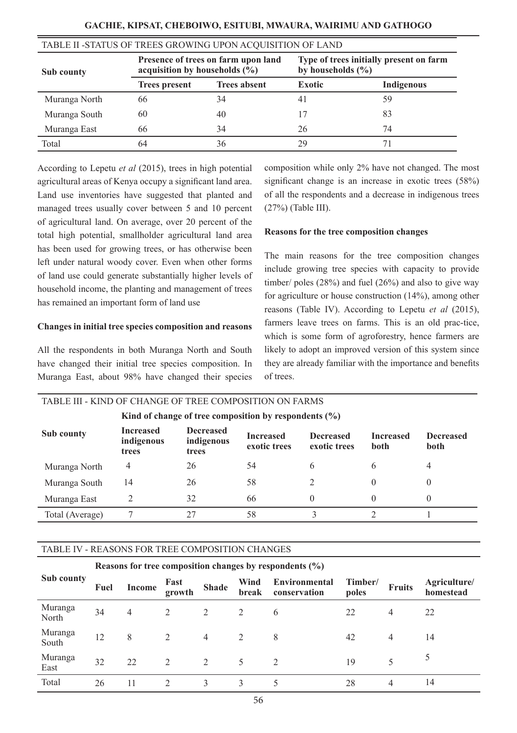| TABLE II -STATUS OF TREES GROWING UPON ACOUISITION OF LAND |                                                                          |                     |                                                                  |            |  |  |
|------------------------------------------------------------|--------------------------------------------------------------------------|---------------------|------------------------------------------------------------------|------------|--|--|
| Sub county                                                 | Presence of trees on farm upon land<br>acquisition by households $(\% )$ |                     | Type of trees initially present on farm<br>by households $(\% )$ |            |  |  |
|                                                            | <b>Trees present</b>                                                     | <b>Trees absent</b> | <b>Exotic</b>                                                    | Indigenous |  |  |
| Muranga North                                              | 66                                                                       | 34                  | 41                                                               | 59         |  |  |
| Muranga South                                              | 60                                                                       | 40                  |                                                                  | 83         |  |  |
| Muranga East                                               | 66                                                                       | 34                  | 26                                                               | 74         |  |  |
| Total                                                      | 64                                                                       | 36                  | 29                                                               |            |  |  |

According to Lepetu *et al* (2015), trees in high potential agricultural areas of Kenya occupy a significant land area. Land use inventories have suggested that planted and managed trees usually cover between 5 and 10 percent of agricultural land. On average, over 20 percent of the total high potential, smallholder agricultural land area has been used for growing trees, or has otherwise been left under natural woody cover. Even when other forms of land use could generate substantially higher levels of household income, the planting and management of trees has remained an important form of land use

#### **Changes in initial tree species composition and reasons**

All the respondents in both Muranga North and South have changed their initial tree species composition. In Muranga East, about 98% have changed their species

composition while only 2% have not changed. The most significant change is an increase in exotic trees (58%) of all the respondents and a decrease in indigenous trees (27%) (Table III).

#### **Reasons for the tree composition changes**

The main reasons for the tree composition changes include growing tree species with capacity to provide timber/ poles (28%) and fuel (26%) and also to give way for agriculture or house construction (14%), among other reasons (Table IV). According to Lepetu *et al* (2015), farmers leave trees on farms. This is an old prac-tice, which is some form of agroforestry, hence farmers are likely to adopt an improved version of this system since they are already familiar with the importance and benefits of trees.

| TABLE III - KIND OF CHANGE OF TKEE COMFOSITION ON FAKWS   |                                         |                                         |                                  |                                  |                          |                          |  |  |
|-----------------------------------------------------------|-----------------------------------------|-----------------------------------------|----------------------------------|----------------------------------|--------------------------|--------------------------|--|--|
| Kind of change of tree composition by respondents $(\% )$ |                                         |                                         |                                  |                                  |                          |                          |  |  |
| Sub county                                                | <b>Increased</b><br>indigenous<br>trees | <b>Decreased</b><br>indigenous<br>trees | <b>Increased</b><br>exotic trees | <b>Decreased</b><br>exotic trees | <b>Increased</b><br>both | <b>Decreased</b><br>both |  |  |
| Muranga North                                             | 4                                       | 26                                      | 54                               | 6                                | 6                        | 4                        |  |  |
| Muranga South                                             | 14                                      | 26                                      | 58                               | $\mathfrak{D}$                   |                          | 0                        |  |  |
| Muranga East                                              |                                         | 32                                      | 66                               | $\theta$                         |                          | $\theta$                 |  |  |
| Total (Average)                                           |                                         | 27                                      | 58                               | 3                                |                          |                          |  |  |
|                                                           |                                         |                                         |                                  |                                  |                          |                          |  |  |

TABLE III - KIND OF CHANGE OF TREE COMPOSITION ON FARMS

## TABLE IV - REASONS FOR TREE COMPOSITION CHANGES

|                  | Reasons for tree composition changes by respondents $(\% )$ |                |                               |                |               |                               |                  |               |                           |
|------------------|-------------------------------------------------------------|----------------|-------------------------------|----------------|---------------|-------------------------------|------------------|---------------|---------------------------|
| Sub county       | Fuel                                                        | Income         | Fast<br>growth                | <b>Shade</b>   | Wind<br>break | Environmental<br>conservation | Timber/<br>poles | <b>Fruits</b> | Agriculture/<br>homestead |
| Muranga<br>North | 34                                                          | $\overline{4}$ | 2                             | 2              | 2             | 6                             | 22               | 4             | 22                        |
| Muranga<br>South | 12                                                          | 8              | 2                             | 4              | 2             | 8                             | 42               | 4             | 14                        |
| Muranga<br>East  | 32                                                          | 22             | $\mathfrak{D}_{\mathfrak{p}}$ | $\mathfrak{D}$ | 5             | $\mathfrak{D}_{\mathfrak{p}}$ | 19               |               | $\mathcal{L}$             |
| Total            | 26                                                          | 11             | $\mathcal{D}_{\mathcal{A}}$   | 3              | 3             |                               | 28               | 4             | 14                        |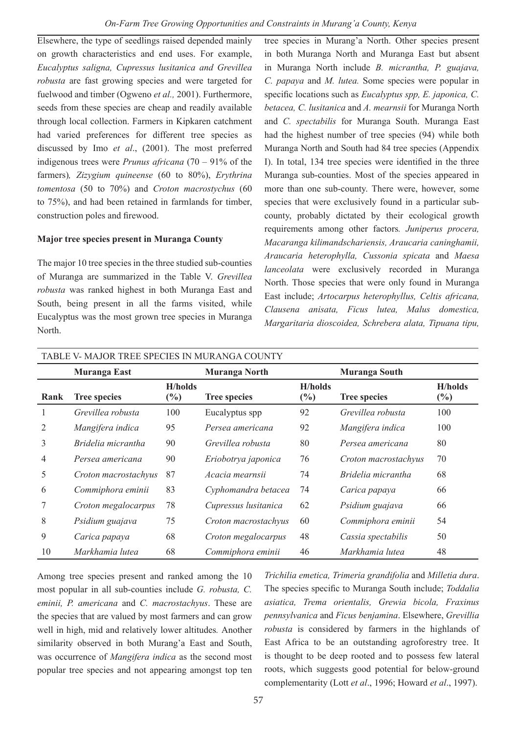Elsewhere, the type of seedlings raised depended mainly on growth characteristics and end uses. For example, *Eucalyptus saligna, Cupressus lusitanica and Grevillea robusta* are fast growing species and were targeted for fuelwood and timber (Ogweno *et al.,* 2001). Furthermore, seeds from these species are cheap and readily available through local collection. Farmers in Kipkaren catchment had varied preferences for different tree species as discussed by Imo *et al*., (2001). The most preferred indigenous trees were *Prunus africana* (70 – 91% of the farmers)*, Zizygium quineense* (60 to 80%), *Erythrina tomentosa* (50 to 70%) and *Croton macrostychus* (60 to 75%), and had been retained in farmlands for timber, construction poles and firewood.

## **Major tree species present in Muranga County**

The major 10 tree species in the three studied sub-counties of Muranga are summarized in the Table V. *Grevillea robusta* was ranked highest in both Muranga East and South, being present in all the farms visited, while Eucalyptus was the most grown tree species in Muranga North.

tree species in Murang'a North. Other species present in both Muranga North and Muranga East but absent in Muranga North include *B. micrantha, P. guajava, C. papaya* and *M. lutea.* Some species were popular in specific locations such as *Eucalyptus spp, E. japonica, C. betacea, C. lusitanica* and *A. mearnsii* for Muranga North and *C. spectabilis* for Muranga South. Muranga East had the highest number of tree species (94) while both Muranga North and South had 84 tree species (Appendix I). In total, 134 tree species were identified in the three Muranga sub-counties. Most of the species appeared in more than one sub-county. There were, however, some species that were exclusively found in a particular subcounty, probably dictated by their ecological growth requirements among other factors*. Juniperus procera, Macaranga kilimandschariensis, Araucaria caninghamii, Araucaria heterophylla, Cussonia spicata* and *Maesa lanceolata* were exclusively recorded in Muranga North. Those species that were only found in Muranga East include; *Artocarpus heterophyllus, Celtis africana, Clausena anisata, Ficus lutea, Malus domestica, Margaritaria dioscoidea, Schrebera alata, Tipuana tipu,* 

|      | <b>Muranga East</b>  |                        | Muranga North        |                                  | Muranga South        |                          |
|------|----------------------|------------------------|----------------------|----------------------------------|----------------------|--------------------------|
| Rank | <b>Tree species</b>  | <b>H</b> /holds<br>(%) | <b>Tree species</b>  | <b>H</b> /holds<br>$\frac{6}{2}$ | <b>Tree species</b>  | <b>H/holds</b><br>$(\%)$ |
|      | Grevillea robusta    | 100                    | Eucalyptus spp       | 92                               | Grevillea robusta    | 100                      |
| 2    | Mangifera indica     | 95                     | Persea americana     | 92                               | Mangifera indica     | 100                      |
| 3    | Bridelia micrantha   | 90                     | Grevillea robusta    | 80                               | Persea americana     | 80                       |
| 4    | Persea americana     | 90                     | Eriobotrya japonica  | 76                               | Croton macrostachyus | 70                       |
| 5    | Croton macrostachyus | 87                     | Acacia mearnsii      | 74                               | Bridelia micrantha   | 68                       |
| 6    | Commiphora eminii    | 83                     | Cyphomandra betacea  | 74                               | Carica papaya        | 66                       |
|      | Croton megalocarpus  | 78                     | Cupressus lusitanica | 62                               | Psidium guajava      | 66                       |
| 8    | Psidium guajava      | 75                     | Croton macrostachyus | 60                               | Commiphora eminii    | 54                       |
| 9    | Carica papaya        | 68                     | Croton megalocarpus  | 48                               | Cassia spectabilis   | 50                       |
| 10   | Markhamia lutea      | 68                     | Commiphora eminii    | 46                               | Markhamia lutea      | 48                       |

Among tree species present and ranked among the 10 most popular in all sub-counties include *G. robusta, C. eminii, P. americana* and *C. macrostachyus*. These are the species that are valued by most farmers and can grow well in high, mid and relatively lower altitudes*.* Another similarity observed in both Murang'a East and South, was occurrence of *Mangifera indica* as the second most popular tree species and not appearing amongst top ten

*Trichilia emetica, Trimeria grandifolia* and *Milletia dura*. The species specific to Muranga South include; *Toddalia asiatica, Trema orientalis, Grewia bicola, Fraxinus pennsylvanica* and *Ficus benjamina*. Elsewhere, *Grevillia robusta* is considered by farmers in the highlands of East Africa to be an outstanding agroforestry tree. It is thought to be deep rooted and to possess few lateral roots, which suggests good potential for below-ground complementarity (Lott *et al*., 1996; Howard *et al*., 1997).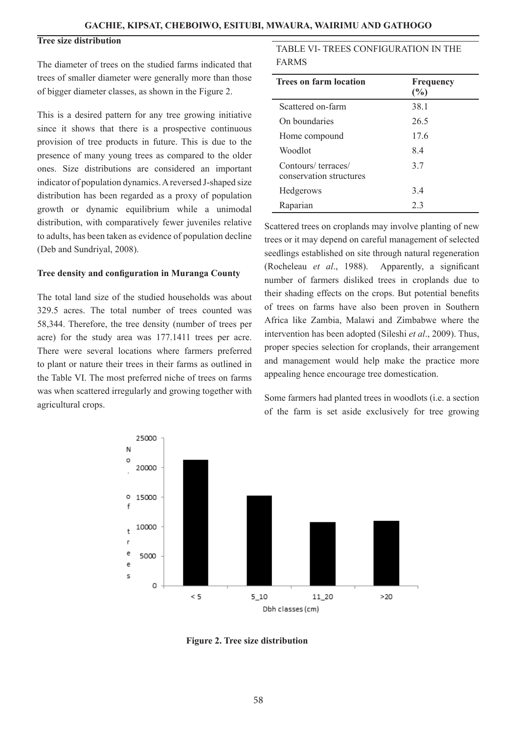## **Tree size distribution**

The diameter of trees on the studied farms indicated that trees of smaller diameter were generally more than those of bigger diameter classes, as shown in the Figure 2.

This is a desired pattern for any tree growing initiative since it shows that there is a prospective continuous provision of tree products in future. This is due to the presence of many young trees as compared to the older ones. Size distributions are considered an important indicator of population dynamics. A reversed J-shaped size distribution has been regarded as a proxy of population growth or dynamic equilibrium while a unimodal distribution, with comparatively fewer juveniles relative to adults, has been taken as evidence of population decline (Deb and Sundriyal, 2008).

#### **Tree density and configuration in Muranga County**

The total land size of the studied households was about 329.5 acres. The total number of trees counted was 58,344. Therefore, the tree density (number of trees per acre) for the study area was 177.1411 trees per acre. There were several locations where farmers preferred to plant or nature their trees in their farms as outlined in the Table VI. The most preferred niche of trees on farms was when scattered irregularly and growing together with agricultural crops.

## TABLE VI- TREES CONFIGURATION IN THE FARMS

| <b>Trees on farm location</b>                 | Frequency<br>(%) |
|-----------------------------------------------|------------------|
| Scattered on-farm                             | 38.1             |
| On boundaries                                 | 26.5             |
| Home compound                                 | 17.6             |
| Woodlot                                       | 84               |
| Contours/terraces/<br>conservation structures | 3.7              |
| Hedgerows                                     | 34               |
| Raparian                                      | 2.3              |

Scattered trees on croplands may involve planting of new trees or it may depend on careful management of selected seedlings established on site through natural regeneration (Rocheleau *et al*., 1988). Apparently, a significant number of farmers disliked trees in croplands due to their shading effects on the crops. But potential benefits of trees on farms have also been proven in Southern Africa like Zambia, Malawi and Zimbabwe where the intervention has been adopted (Sileshi *et al*., 2009). Thus, proper species selection for croplands, their arrangement and management would help make the practice more appealing hence encourage tree domestication.

Some farmers had planted trees in woodlots (i.e. a section of the farm is set aside exclusively for tree growing



**Figure 2. Tree size distribution**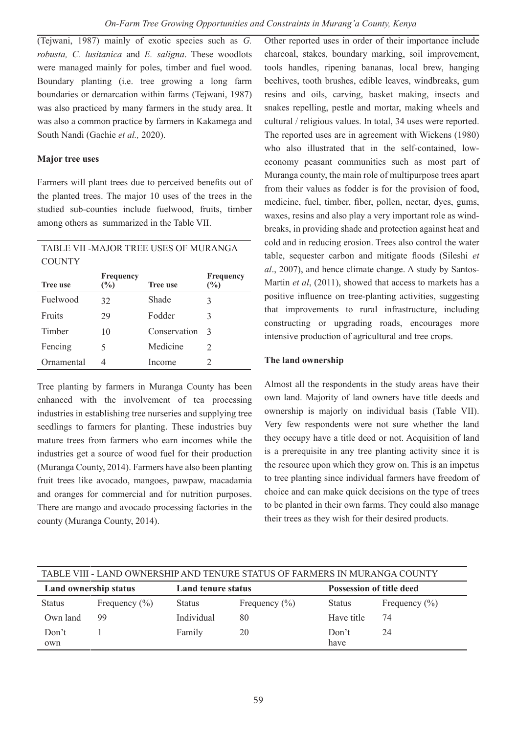(Tejwani, 1987) mainly of exotic species such as *G. robusta, C. lusitanica* and *E. saligna*. These woodlots were managed mainly for poles, timber and fuel wood. Boundary planting (i.e. tree growing a long farm boundaries or demarcation within farms (Tejwani, 1987) was also practiced by many farmers in the study area. It was also a common practice by farmers in Kakamega and South Nandi (Gachie *et al.,* 2020).

## **Major tree uses**

Farmers will plant trees due to perceived benefits out of the planted trees. The major 10 uses of the trees in the studied sub-counties include fuelwood, fruits, timber among others as summarized in the Table VII.

## TABLE VII -MAJOR TREE USES OF MURANGA **COUNTY**

| <b>Tree use</b> | Frequency<br>(%) | <b>Tree use</b> | Frequency<br>(%) |
|-----------------|------------------|-----------------|------------------|
| Fuelwood        | 32               | Shade           | 3                |
| Fruits          | 29               | Fodder          | 3                |
| Timber          | 10               | Conservation    | $\mathcal{R}$    |
| Fencing         |                  | Medicine        | $\mathcal{L}$    |
| Ornamental      |                  | Income          |                  |

Tree planting by farmers in Muranga County has been enhanced with the involvement of tea processing industries in establishing tree nurseries and supplying tree seedlings to farmers for planting. These industries buy mature trees from farmers who earn incomes while the industries get a source of wood fuel for their production (Muranga County, 2014). Farmers have also been planting fruit trees like avocado, mangoes, pawpaw, macadamia and oranges for commercial and for nutrition purposes. There are mango and avocado processing factories in the county (Muranga County, 2014).

Other reported uses in order of their importance include charcoal, stakes, boundary marking, soil improvement, tools handles, ripening bananas, local brew, hanging beehives, tooth brushes, edible leaves, windbreaks, gum resins and oils, carving, basket making, insects and snakes repelling, pestle and mortar, making wheels and cultural / religious values. In total, 34 uses were reported. The reported uses are in agreement with Wickens (1980) who also illustrated that in the self-contained, loweconomy peasant communities such as most part of Muranga county, the main role of multipurpose trees apart from their values as fodder is for the provision of food, medicine, fuel, timber, fiber, pollen, nectar, dyes, gums, waxes, resins and also play a very important role as windbreaks, in providing shade and protection against heat and cold and in reducing erosion. Trees also control the water table, sequester carbon and mitigate floods (Sileshi *et al*., 2007), and hence climate change. A study by Santos-Martin *et al*, (2011), showed that access to markets has a positive influence on tree-planting activities, suggesting that improvements to rural infrastructure, including constructing or upgrading roads, encourages more intensive production of agricultural and tree crops.

## **The land ownership**

Almost all the respondents in the study areas have their own land. Majority of land owners have title deeds and ownership is majorly on individual basis (Table VII). Very few respondents were not sure whether the land they occupy have a title deed or not. Acquisition of land is a prerequisite in any tree planting activity since it is the resource upon which they grow on. This is an impetus to tree planting since individual farmers have freedom of choice and can make quick decisions on the type of trees to be planted in their own farms. They could also manage their trees as they wish for their desired products.

| TABLE VIII - LAND OWNERSHIP AND TENURE STATUS OF FARMERS IN MURANGA COUNTY |                   |                    |                   |                                 |                   |  |
|----------------------------------------------------------------------------|-------------------|--------------------|-------------------|---------------------------------|-------------------|--|
| Land ownership status                                                      |                   | Land tenure status |                   | <b>Possession of title deed</b> |                   |  |
| <b>Status</b>                                                              | Frequency $(\% )$ | <b>Status</b>      | Frequency $(\% )$ | <b>Status</b>                   | Frequency $(\% )$ |  |
| Own land                                                                   | 99                | Individual         | 80                | Have title                      | 74                |  |
| Don't<br>own                                                               |                   | Family             | 20                | Don't<br>have                   | 24                |  |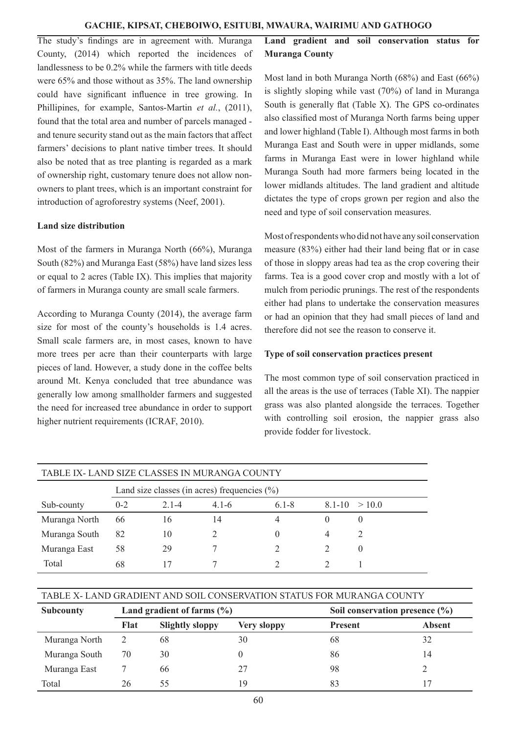The study's findings are in agreement with. Muranga County, (2014) which reported the incidences of landlessness to be 0.2% while the farmers with title deeds were 65% and those without as 35%. The land ownership could have significant influence in tree growing. In Phillipines, for example, Santos-Martin *et al.*, (2011), found that the total area and number of parcels managed and tenure security stand out as the main factors that affect farmers' decisions to plant native timber trees. It should also be noted that as tree planting is regarded as a mark of ownership right, customary tenure does not allow nonowners to plant trees, which is an important constraint for introduction of agroforestry systems (Neef, 2001).

## **Land size distribution**

Most of the farmers in Muranga North (66%), Muranga South (82%) and Muranga East (58%) have land sizes less or equal to 2 acres (Table IX). This implies that majority of farmers in Muranga county are small scale farmers.

According to Muranga County (2014), the average farm size for most of the county's households is 1.4 acres. Small scale farmers are, in most cases, known to have more trees per acre than their counterparts with large pieces of land. However, a study done in the coffee belts around Mt. Kenya concluded that tree abundance was generally low among smallholder farmers and suggested the need for increased tree abundance in order to support higher nutrient requirements (ICRAF, 2010).

## **Land gradient and soil conservation status for Muranga County**

Most land in both Muranga North (68%) and East (66%) is slightly sloping while vast (70%) of land in Muranga South is generally flat (Table X). The GPS co-ordinates also classified most of Muranga North farms being upper and lower highland (Table I). Although most farms in both Muranga East and South were in upper midlands, some farms in Muranga East were in lower highland while Muranga South had more farmers being located in the lower midlands altitudes. The land gradient and altitude dictates the type of crops grown per region and also the need and type of soil conservation measures.

Most of respondents who did not have any soil conservation measure (83%) either had their land being flat or in case of those in sloppy areas had tea as the crop covering their farms. Tea is a good cover crop and mostly with a lot of mulch from periodic prunings. The rest of the respondents either had plans to undertake the conservation measures or had an opinion that they had small pieces of land and therefore did not see the reason to conserve it.

## **Type of soil conservation practices present**

The most common type of soil conservation practiced in all the areas is the use of terraces (Table XI). The nappier grass was also planted alongside the terraces. Together with controlling soil erosion, the nappier grass also provide fodder for livestock.

| TABLE IX-LAND SIZE CLASSES IN MURANGA COUNTY |                                                  |           |           |           |                   |              |  |
|----------------------------------------------|--------------------------------------------------|-----------|-----------|-----------|-------------------|--------------|--|
|                                              | Land size classes (in acres) frequencies $(\% )$ |           |           |           |                   |              |  |
| Sub-county                                   | $0 - 2$                                          | $2.1 - 4$ | $4.1 - 6$ | $6.1 - 8$ | $8.1 - 10 > 10.0$ |              |  |
| Muranga North                                | 66                                               | 16        | 14        | 4         | $\theta$          |              |  |
| Muranga South                                | 82                                               | 10        |           | $\theta$  |                   |              |  |
| Muranga East                                 | 58                                               | 29        |           |           |                   | $\mathbf{0}$ |  |
| Total                                        | 68                                               |           |           |           |                   |              |  |

| TABLE X- LAND GRADIENT AND SOIL CONSERVATION STATUS FOR MURANGA COUNTY |      |                                |             |                |                                    |  |
|------------------------------------------------------------------------|------|--------------------------------|-------------|----------------|------------------------------------|--|
| <b>Subcounty</b>                                                       |      | Land gradient of farms $(\% )$ |             |                | Soil conservation presence $(\% )$ |  |
|                                                                        | Flat | <b>Slightly sloppy</b>         | Very sloppy | <b>Present</b> | <b>Absent</b>                      |  |
| Muranga North                                                          |      | 68                             | 30          | 68             | 32                                 |  |
| Muranga South                                                          | 70   | 30                             |             | 86             | 14                                 |  |
| Muranga East                                                           |      | 66                             |             | 98             |                                    |  |
| Total                                                                  |      | 55                             | 19          | 83             |                                    |  |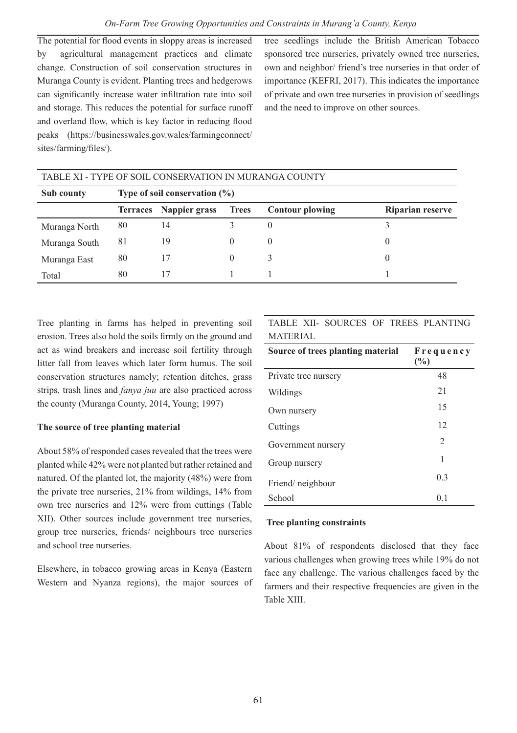The potential for flood events in sloppy areas is increased by agricultural management practices and climate change. Construction of soil conservation structures in Muranga County is evident. Planting trees and hedgerows can significantly increase water infiltration rate into soil and storage. This reduces the potential for surface runoff and overland flow, which is key factor in reducing flood peaks (https://businesswales.gov.wales/farmingconnect/ sites/farming/files/).

tree seedlings include the British American Tobacco sponsored tree nurseries, privately owned tree nurseries, own and neighbor/ friend's tree nurseries in that order of importance (KEFRI, 2017). This indicates the importance of private and own tree nurseries in provision of seedlings and the need to improve on other sources.

| TABLE XI - TYPE OF SOIL CONSERVATION IN MURANGA COUNTY |                                  |                        |              |                        |                         |  |
|--------------------------------------------------------|----------------------------------|------------------------|--------------|------------------------|-------------------------|--|
| Sub county                                             | Type of soil conservation $(\%)$ |                        |              |                        |                         |  |
|                                                        |                                  | Terraces Nappier grass | <b>Trees</b> | <b>Contour plowing</b> | <b>Riparian reserve</b> |  |
| Muranga North                                          | 80                               | 14                     |              |                        |                         |  |
| Muranga South                                          | 81                               | 19                     | $\theta$     | $\theta$               | $\theta$                |  |
| Muranga East                                           | 80                               | 17                     | $\mathbf{0}$ |                        | 0                       |  |
| Total                                                  | 80                               | 17                     |              |                        |                         |  |

Tree planting in farms has helped in preventing soil erosion. Trees also hold the soils firmly on the ground and act as wind breakers and increase soil fertility through litter fall from leaves which later form humus. The soil conservation structures namely; retention ditches, grass strips, trash lines and *fanya juu* are also practiced across the county (Muranga County, 2014, Young; 1997)

## **The source of tree planting material**

About 58% of responded cases revealed that the trees were planted while 42% were not planted but rather retained and natured. Of the planted lot, the majority (48%) were from the private tree nurseries, 21% from wildings, 14% from own tree nurseries and 12% were from cuttings (Table XII). Other sources include government tree nurseries, group tree nurseries, friends/ neighbours tree nurseries and school tree nurseries.

Elsewhere, in tobacco growing areas in Kenya (Eastern Western and Nyanza regions), the major sources of

TABLE XII- SOURCES OF TREES PLANTING MATERIAL

| Source of trees planting material | Frequency<br>(%) |
|-----------------------------------|------------------|
| Private tree nursery              | 48               |
| Wildings                          | 21               |
| Own nursery                       | 15               |
| Cuttings                          | 12               |
| Government nursery                | $\mathfrak{D}$   |
| Group nursery                     | 1                |
| Friend/neighbour                  | 0 <sup>3</sup>   |
| School                            | 0 <sub>1</sub>   |

## **Tree planting constraints**

About 81% of respondents disclosed that they face various challenges when growing trees while 19% do not face any challenge. The various challenges faced by the farmers and their respective frequencies are given in the Table XIII.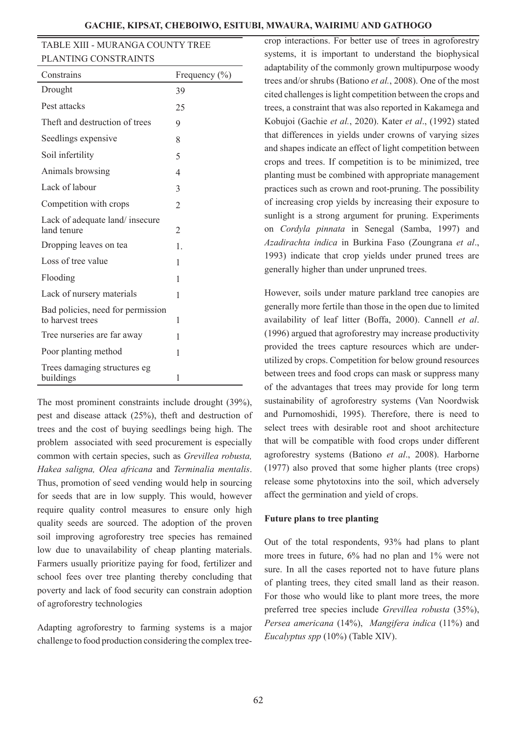| GACHIE. KIPSAT. CHEBOIWO. ESITUBI. MWAURA. WAIRIMU AND GATHOGO |  |  |  |
|----------------------------------------------------------------|--|--|--|
|----------------------------------------------------------------|--|--|--|

| TABLE XIII - MURANGA COUNTY TREE |
|----------------------------------|
| PLANTING CONSTRAINTS             |

| Constrains                                            | Frequency $(\% )$ |
|-------------------------------------------------------|-------------------|
| Drought                                               | 39                |
| Pest attacks                                          | 25                |
| Theft and destruction of trees                        | 9                 |
| Seedlings expensive                                   | 8                 |
| Soil infertility                                      | 5                 |
| Animals browsing                                      | 4                 |
| Lack of labour                                        | 3                 |
| Competition with crops                                | $\mathfrak{D}$    |
| Lack of adequate land/ insecure<br>land tenure        | $\overline{2}$    |
| Dropping leaves on tea                                | $\mathbf{1}$      |
| Loss of tree value                                    | 1                 |
| Flooding                                              | 1                 |
| Lack of nursery materials                             | 1                 |
| Bad policies, need for permission<br>to harvest trees | 1                 |
| Tree nurseries are far away                           | 1                 |
| Poor planting method                                  | 1                 |
| Trees damaging structures eg<br>buildings             | 1                 |

The most prominent constraints include drought (39%), pest and disease attack (25%), theft and destruction of trees and the cost of buying seedlings being high. The problem associated with seed procurement is especially common with certain species, such as *Grevillea robusta, Hakea saligna, Olea africana* and *Terminalia mentalis*. Thus, promotion of seed vending would help in sourcing for seeds that are in low supply. This would, however require quality control measures to ensure only high quality seeds are sourced. The adoption of the proven soil improving agroforestry tree species has remained low due to unavailability of cheap planting materials. Farmers usually prioritize paying for food, fertilizer and school fees over tree planting thereby concluding that poverty and lack of food security can constrain adoption of agroforestry technologies

Adapting agroforestry to farming systems is a major challenge to food production considering the complex tree-

crop interactions. For better use of trees in agroforestry systems, it is important to understand the biophysical adaptability of the commonly grown multipurpose woody trees and/or shrubs (Bationo *et al.*, 2008). One of the most cited challenges is light competition between the crops and trees, a constraint that was also reported in Kakamega and Kobujoi (Gachie *et al.*, 2020). Kater *et al*., (1992) stated that differences in yields under crowns of varying sizes and shapes indicate an effect of light competition between crops and trees. If competition is to be minimized, tree planting must be combined with appropriate management practices such as crown and root-pruning. The possibility of increasing crop yields by increasing their exposure to sunlight is a strong argument for pruning. Experiments on *Cordyla pinnata* in Senegal (Samba, 1997) and *Azadirachta indica* in Burkina Faso (Zoungrana *et al*., 1993) indicate that crop yields under pruned trees are generally higher than under unpruned trees.

However, soils under mature parkland tree canopies are generally more fertile than those in the open due to limited availability of leaf litter (Boffa, 2000). Cannell *et al*. (1996) argued that agroforestry may increase productivity provided the trees capture resources which are underutilized by crops. Competition for below ground resources between trees and food crops can mask or suppress many of the advantages that trees may provide for long term sustainability of agroforestry systems (Van Noordwisk and Purnomoshidi, 1995). Therefore, there is need to select trees with desirable root and shoot architecture that will be compatible with food crops under different agroforestry systems (Bationo *et al*., 2008). Harborne (1977) also proved that some higher plants (tree crops) release some phytotoxins into the soil, which adversely affect the germination and yield of crops.

#### **Future plans to tree planting**

Out of the total respondents, 93% had plans to plant more trees in future, 6% had no plan and 1% were not sure. In all the cases reported not to have future plans of planting trees, they cited small land as their reason. For those who would like to plant more trees, the more preferred tree species include *Grevillea robusta* (35%), *Persea americana* (14%), *Mangifera indica* (11%) and *Eucalyptus spp* (10%) (Table XIV).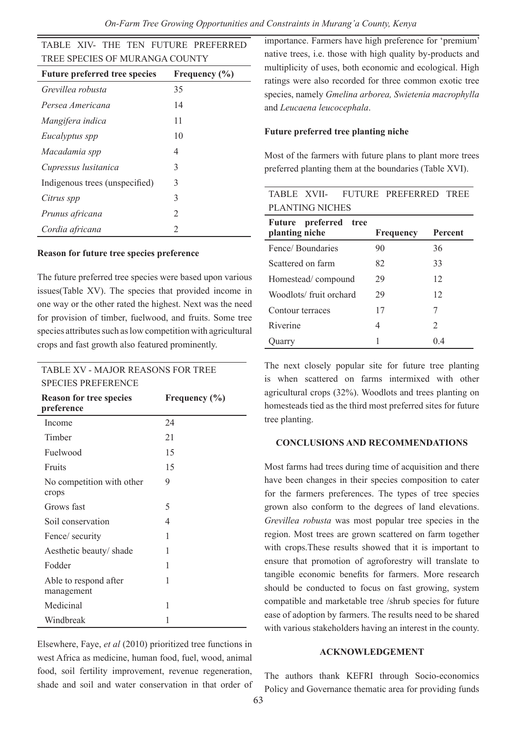*On-Farm Tree Growing Opportunities and Constraints in Murang'a County, Kenya*

| TABLE XIV- THE TEN FUTURE PREFERRED  |                   |  |  |  |
|--------------------------------------|-------------------|--|--|--|
| TREE SPECIES OF MURANGA COUNTY       |                   |  |  |  |
| <b>Future preferred tree species</b> | Frequency $(\% )$ |  |  |  |
| Grevillea robusta                    | 35                |  |  |  |
| Persea Americana                     | 14                |  |  |  |
| Mangifera indica                     | 11                |  |  |  |
| Eucalyptus spp                       | 10                |  |  |  |
| Macadamia spp                        | 4                 |  |  |  |
| Cupressus lusitanica                 | 3                 |  |  |  |
| Indigenous trees (unspecified)       | 3                 |  |  |  |
| Citrus spp                           | 3                 |  |  |  |
| Prunus africana                      | $\overline{c}$    |  |  |  |
| Cordia africana                      | $\mathfrak{D}$    |  |  |  |

#### **Reason for future tree species preference**

The future preferred tree species were based upon various issues(Table XV). The species that provided income in one way or the other rated the highest. Next was the need for provision of timber, fuelwood, and fruits. Some tree species attributes such as low competition with agricultural crops and fast growth also featured prominently.

## TABLE XV - MAJOR REASONS FOR TREE SPECIES PREFERENCE

| <b>Reason for tree species</b><br>preference | Frequency $(\% )$ |
|----------------------------------------------|-------------------|
| Income                                       | 24                |
| Timber                                       | 21                |
| Fuelwood                                     | 15                |
| Fruits                                       | 15                |
| No competition with other<br>crops           | 9                 |
| Grows fast                                   | 5                 |
| Soil conservation                            | 4                 |
| Fence/ security                              | 1                 |
| Aesthetic beauty/shade                       | 1                 |
| Fodder                                       | 1                 |
| Able to respond after<br>management          | 1                 |
| Medicinal                                    | 1                 |
| Windbreak                                    | 1                 |

Elsewhere, Faye, *et al* (2010) prioritized tree functions in west Africa as medicine, human food, fuel, wood, animal food, soil fertility improvement, revenue regeneration, shade and soil and water conservation in that order of importance. Farmers have high preference for 'premium' native trees, i.e. those with high quality by-products and multiplicity of uses, both economic and ecological. High ratings were also recorded for three common exotic tree species, namely *Gmelina arborea, Swietenia macrophylla*  and *Leucaena leucocephala*.

#### **Future preferred tree planting niche**

Most of the farmers with future plans to plant more trees preferred planting them at the boundaries (Table XVI).

| TABLE XVII-                                          | FUTURE PREFERRED | TREE                          |  |  |  |
|------------------------------------------------------|------------------|-------------------------------|--|--|--|
| PLANTING NICHES                                      |                  |                               |  |  |  |
| preferred<br><b>Future</b><br>tree<br>planting niche | <b>Frequency</b> | Percent                       |  |  |  |
| Fence/Boundaries                                     | 90               | 36                            |  |  |  |
| Scattered on farm                                    | 82               | 33                            |  |  |  |
| Homestead/compound                                   | 29               | 12                            |  |  |  |
| Woodlots/fruit orchard                               | 29               | 12                            |  |  |  |
| Contour terraces                                     | 17               | 7                             |  |  |  |
| Riverine                                             | 4                | $\mathfrak{D}_{\mathfrak{p}}$ |  |  |  |
| )uarry                                               |                  | () 4                          |  |  |  |

The next closely popular site for future tree planting is when scattered on farms intermixed with other agricultural crops (32%). Woodlots and trees planting on homesteads tied as the third most preferred sites for future tree planting.

#### **CONCLUSIONS AND RECOMMENDATIONS**

Most farms had trees during time of acquisition and there have been changes in their species composition to cater for the farmers preferences. The types of tree species grown also conform to the degrees of land elevations. *Grevillea robusta* was most popular tree species in the region. Most trees are grown scattered on farm together with crops.These results showed that it is important to ensure that promotion of agroforestry will translate to tangible economic benefits for farmers. More research should be conducted to focus on fast growing, system compatible and marketable tree /shrub species for future ease of adoption by farmers. The results need to be shared with various stakeholders having an interest in the county.

#### **ACKNOWLEDGEMENT**

The authors thank KEFRI through Socio-economics Policy and Governance thematic area for providing funds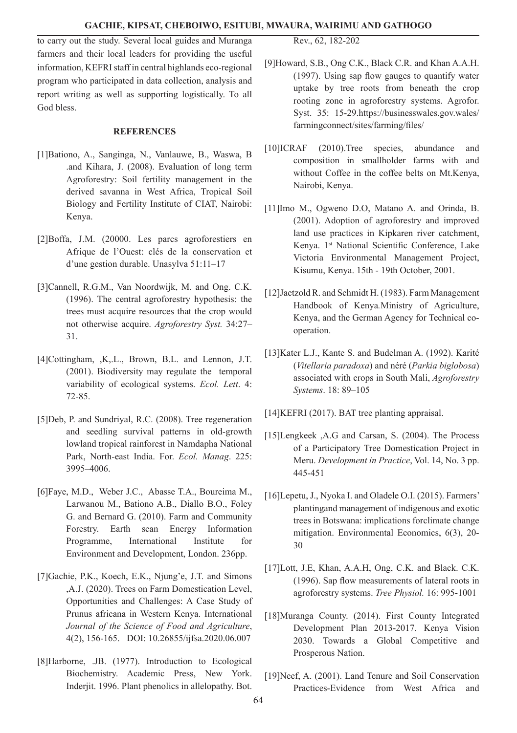to carry out the study. Several local guides and Muranga farmers and their local leaders for providing the useful information, KEFRI staff in central highlands eco-regional program who participated in data collection, analysis and report writing as well as supporting logistically. To all God bless.

#### **REFERENCES**

- [1]Bationo, A., Sanginga, N., Vanlauwe, B., Waswa, B .and Kihara, J. (2008). Evaluation of long term Agroforestry: Soil fertility management in the derived savanna in West Africa, Tropical Soil Biology and Fertility Institute of CIAT, Nairobi: Kenya.
- [2]Boffa, J.M. (20000. Les parcs agroforestiers en Afrique de l'Ouest: clés de la conservation et d'une gestion durable. Unasylva 51:11–17
- [3]Cannell, R.G.M., Van Noordwijk, M. and Ong. C.K. (1996). The central agroforestry hypothesis: the trees must acquire resources that the crop would not otherwise acquire. *Agroforestry Syst.* 34:27– 31.
- [4]Cottingham, ,K,.L., Brown, B.L. and Lennon, J.T. (2001). Biodiversity may regulate the temporal variability of ecological systems. *Ecol. Lett*. 4: 72-85.
- [5]Deb, P. and Sundriyal, R.C. (2008). Tree regeneration and seedling survival patterns in old-growth lowland tropical rainforest in Namdapha National Park, North-east India. For. *Ecol. Manag*. 225: 3995–4006.
- [6]Faye, M.D., Weber J.C., Abasse T.A., Boureima M., Larwanou M., Bationo A.B., Diallo B.O., Foley G. and Bernard G. (2010). Farm and Community Forestry. Earth scan Energy Information Programme, International Institute for Environment and Development, London. 236pp.
- [7]Gachie, P.K., Koech, E.K., Njung'e, J.T. and Simons ,A.J. (2020). Trees on Farm Domestication Level, Opportunities and Challenges: A Case Study of Prunus africana in Western Kenya. International *Journal of the Science of Food and Agriculture*, 4(2), 156-165. DOI: 10.26855/ijfsa.2020.06.007
- [8]Harborne, .JB. (1977). Introduction to Ecological Biochemistry. Academic Press, New York. Inderjit. 1996. Plant phenolics in allelopathy. Bot.

Rev., 62, 182-202

- [9]Howard, S.B., Ong C.K., Black C.R. and Khan A.A.H. (1997). Using sap flow gauges to quantify water uptake by tree roots from beneath the crop rooting zone in agroforestry systems. Agrofor. Syst. 35: 15-29.https://businesswales.gov.wales/ farmingconnect/sites/farming/files/
- [10]ICRAF (2010).Tree species, abundance and composition in smallholder farms with and without Coffee in the coffee belts on Mt.Kenya, Nairobi, Kenya.
- [11]Imo M., Ogweno D.O, Matano A. and Orinda, B. (2001). Adoption of agroforestry and improved land use practices in Kipkaren river catchment, Kenya. 1st National Scientific Conference, Lake Victoria Environmental Management Project, Kisumu, Kenya. 15th - 19th October, 2001.
- [12]Jaetzold R. and Schmidt H. (1983). Farm Management Handbook of Kenya*.*Ministry of Agriculture, Kenya, and the German Agency for Technical cooperation.
- [13]Kater L.J., Kante S. and Budelman A. (1992). Karité (*Vitellaria paradoxa*) and néré (*Parkia biglobosa*) associated with crops in South Mali, *Agroforestry Systems*. 18: 89–105
- [14]KEFRI (2017). BAT tree planting appraisal.
- [15]Lengkeek ,A.G and Carsan, S. (2004). The Process of a Participatory Tree Domestication Project in Meru. *Development in Practice*, Vol. 14, No. 3 pp. 445-451
- [16]Lepetu, J., Nyoka I. and Oladele O.I. (2015). Farmers' plantingand management of indigenous and exotic trees in Botswana: implications forclimate change mitigation. Environmental Economics, 6(3), 20- 30
- [17]Lott, J.E, Khan, A.A.H, Ong, C.K. and Black. C.K. (1996). Sap flow measurements of lateral roots in agroforestry systems. *Tree Physiol.* 16: 995-1001
- [18]Muranga County. (2014). First County Integrated Development Plan 2013-2017. Kenya Vision 2030. Towards a Global Competitive and Prosperous Nation.
- [19]Neef, A. (2001). Land Tenure and Soil Conservation Practices-Evidence from West Africa and